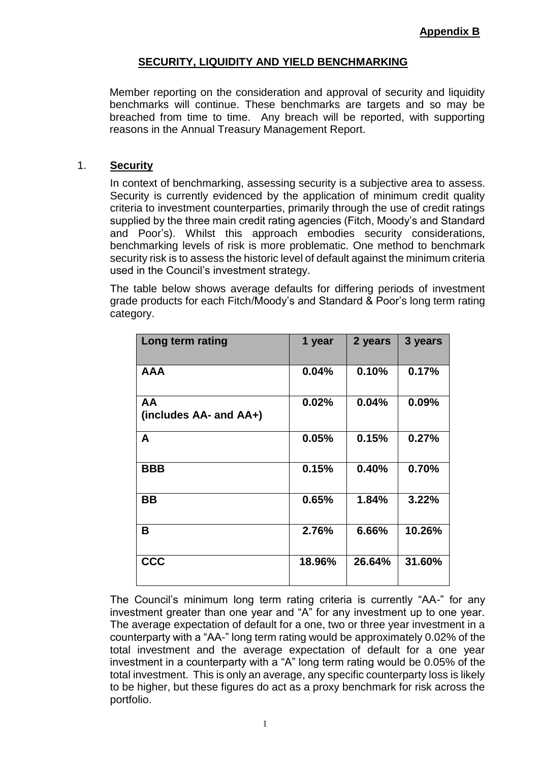## **SECURITY, LIQUIDITY AND YIELD BENCHMARKING**

Member reporting on the consideration and approval of security and liquidity benchmarks will continue. These benchmarks are targets and so may be breached from time to time. Any breach will be reported, with supporting reasons in the Annual Treasury Management Report.

## 1. **Security**

In context of benchmarking, assessing security is a subjective area to assess. Security is currently evidenced by the application of minimum credit quality criteria to investment counterparties, primarily through the use of credit ratings supplied by the three main credit rating agencies (Fitch, Moody's and Standard and Poor's). Whilst this approach embodies security considerations, benchmarking levels of risk is more problematic. One method to benchmark security risk is to assess the historic level of default against the minimum criteria used in the Council's investment strategy.

The table below shows average defaults for differing periods of investment grade products for each Fitch/Moody's and Standard & Poor's long term rating category.

| Long term rating             | 1 year | 2 years | 3 years |
|------------------------------|--------|---------|---------|
| <b>AAA</b>                   | 0.04%  | 0.10%   | 0.17%   |
| AA<br>(includes AA- and AA+) | 0.02%  | 0.04%   | 0.09%   |
| A                            | 0.05%  | 0.15%   | 0.27%   |
| <b>BBB</b>                   | 0.15%  | 0.40%   | 0.70%   |
| BB                           | 0.65%  | 1.84%   | 3.22%   |
| B                            | 2.76%  | 6.66%   | 10.26%  |
| <b>CCC</b>                   | 18.96% | 26.64%  | 31.60%  |

The Council's minimum long term rating criteria is currently "AA-" for any investment greater than one year and "A" for any investment up to one year. The average expectation of default for a one, two or three year investment in a counterparty with a "AA-" long term rating would be approximately 0.02% of the total investment and the average expectation of default for a one year investment in a counterparty with a "A" long term rating would be 0.05% of the total investment. This is only an average, any specific counterparty loss is likely to be higher, but these figures do act as a proxy benchmark for risk across the portfolio.